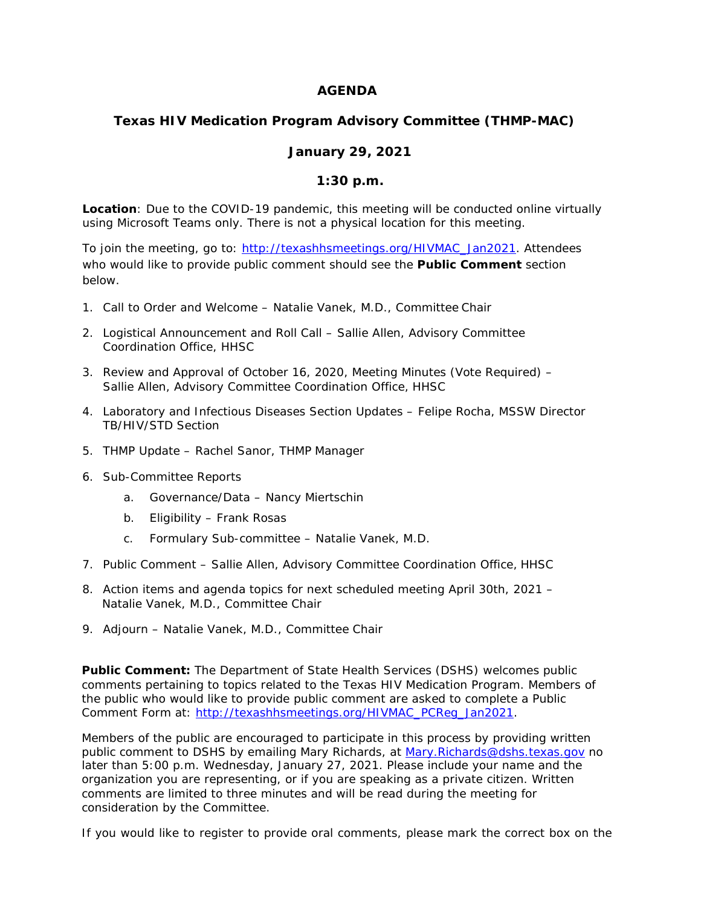## **AGENDA**

## **Texas HIV Medication Program Advisory Committee (THMP-MAC)**

## **January 29, 2021**

## **1:30 p.m.**

**Location**: Due to the COVID-19 pandemic, this meeting will be conducted online virtually using Microsoft Teams only. There is not a physical location for this meeting.

To join the meeting, go to: [http://texashhsmeetings.org/HIVMAC\\_Jan2021.](http://texashhsmeetings.org/HIVMAC_Jan2021) Attendees who would like to provide public comment should see the **Public Comment** section below.

- 1. Call to Order and Welcome Natalie Vanek, M.D., Committee Chair
- 2. Logistical Announcement and Roll Call Sallie Allen, Advisory Committee Coordination Office, HHSC
- 3. Review and Approval of October 16, 2020, Meeting Minutes (Vote Required) Sallie Allen, Advisory Committee Coordination Office, HHSC
- 4. Laboratory and Infectious Diseases Section Updates Felipe Rocha, MSSW Director TB/HIV/STD Section
- 5. THMP Update Rachel Sanor, THMP Manager
- 6. Sub-Committee Reports
	- a. Governance/Data Nancy Miertschin
	- b. Eligibility Frank Rosas
	- c. Formulary Sub-committee Natalie Vanek, M.D.
- 7. Public Comment Sallie Allen, Advisory Committee Coordination Office, HHSC
- 8. Action items and agenda topics for next scheduled meeting April 30th, 2021 Natalie Vanek, M.D., Committee Chair
- 9. Adjourn Natalie Vanek, M.D., Committee Chair

**Public Comment:** The Department of State Health Services (DSHS) welcomes public comments pertaining to topics related to the Texas HIV Medication Program. Members of the public who would like to provide public comment are asked to complete a Public Comment Form at: [http://texashhsmeetings.org/HIVMAC\\_PCReg\\_Jan2021.](http://texashhsmeetings.org/HIVMAC_PCReg_Jan2021)

Members of the public are encouraged to participate in this process by providing written public comment to DSHS by emailing Mary Richards, at [Mary.Richards@dshs.texas.gov](mailto:Mary.Richards@dshs.texas.gov) no later than 5:00 p.m. Wednesday, January 27, 2021. Please include your name and the organization you are representing, or if you are speaking as a private citizen. Written comments are limited to three minutes and will be read during the meeting for consideration by the Committee.

If you would like to register to provide oral comments, please mark the correct box on the